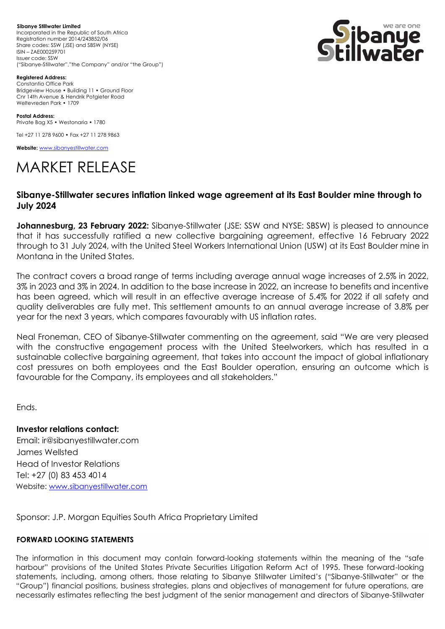**Sibanye Stillwater Limited**  Incorporated in the Republic of South Africa Registration number 2014/243852/06 Share codes: SSW (JSE) and SBSW (NYSE) ISIN – ZAE000259701 Issuer code: SSW ("Sibanye-Stillwater","the Company" and/or "the Group")



**Registered Address:** Constantia Office Park Bridgeview House • Building 11 • Ground Floor Cnr 14th Avenue & Hendrik Potgieter Road Weltevreden Park • 1709

**Postal Address:** Private Bag X5 • Westonaria • 1780

Tel +27 11 278 9600 • Fax +27 11 278 9863

**Website:** [www.sibanyestillwater.com](http://www.sibanyestillwater.com/)

## MARKET RELEASE

## **Sibanye-Stillwater secures inflation linked wage agreement at its East Boulder mine through to July 2024**

**Johannesburg, 23 February 2022:** Sibanye-Stillwater (JSE: SSW and NYSE: SBSW) is pleased to announce that it has successfully ratified a new collective bargaining agreement, effective 16 February 2022 through to 31 July 2024, with the United Steel Workers International Union (USW) at its East Boulder mine in Montana in the United States.

The contract covers a broad range of terms including average annual wage increases of 2.5% in 2022, 3% in 2023 and 3% in 2024. In addition to the base increase in 2022, an increase to benefits and incentive has been agreed, which will result in an effective average increase of 5.4% for 2022 if all safety and quality deliverables are fully met. This settlement amounts to an annual average increase of 3.8% per year for the next 3 years, which compares favourably with US inflation rates.

Neal Froneman, CEO of Sibanye-Stillwater commenting on the agreement, said "We are very pleased with the constructive engagement process with the United Steelworkers, which has resulted in a sustainable collective bargaining agreement, that takes into account the impact of global inflationary cost pressures on both employees and the East Boulder operation, ensuring an outcome which is favourable for the Company, its employees and all stakeholders."

Ends.

**Investor relations contact:** Email: ir@sibanyestillwater.com James Wellsted Head of Investor Relations Tel: +27 (0) 83 453 4014 Website: [www.sibanyestillwater.com](http://www.sibanyestillwater.com/)

Sponsor: J.P. Morgan Equities South Africa Proprietary Limited

## **FORWARD LOOKING STATEMENTS**

The information in this document may contain forward-looking statements within the meaning of the "safe harbour" provisions of the United States Private Securities Litigation Reform Act of 1995. These forward-looking statements, including, among others, those relating to Sibanye Stillwater Limited's ("Sibanye-Stillwater" or the "Group") financial positions, business strategies, plans and objectives of management for future operations, are necessarily estimates reflecting the best judgment of the senior management and directors of Sibanye-Stillwater